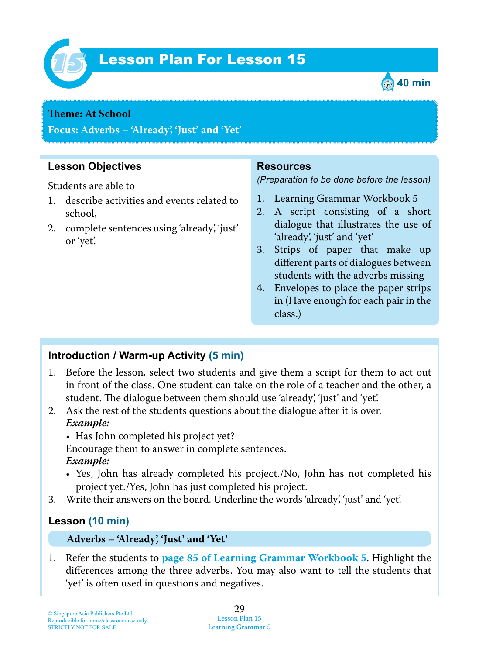

# Lesson Plan For Lesson 15 *15*



#### **Theme:** At **School**

**Focus: Adverbs – 'Already', 'Just' and 'Yet'**

## **Lesson Objectives**

Students are able to

- 1 . describe activities and events related to school,
- 2. complete sentences using 'already', 'just' or 'yet'.

#### **Resources**

*(Preparation to be done before the lesson)*

- 1. Learning Grammar Workbook 5
- 2. A script consisting of a short dialogue that illustrates the use of 'already', 'just' and 'yet'
- 3. Strips of paper that make up different parts of dialogues between students with the adverbs missing
- 4. Envelopes to place the paper strips in (Have enough for each pair in the class.)

## **Introduction / Warm-up Activity (5 min)**

- 1. Before the lesson, select two students and give them a script for them to act out in front of the class. One student can take on the role of a teacher and the other, a student. The dialogue between them should use 'already', 'just' and 'yet'.
- 2. Ask the rest of the students questions about the dialogue after it is over.  *Example:*

• Has John completed his project yet?

Encourage them to answer in complete sentences.

 *Example:*

- Yes, John has already completed his project./No, John has not completed his project yet./Yes, John has just completed his project.
- 3. Write their answers on the board. Underline the words 'already', 'just' and 'yet'.

## **Lesson (10 min)**

#### **Adverbs – 'Already', 'Just' and 'Yet'**

1 . Refer the students to **page 85 of Learning Grammar Workbook 5** . Highlight the differences among the three adverbs. You may also want to tell the students that 'yet' is often used in questions and negatives.